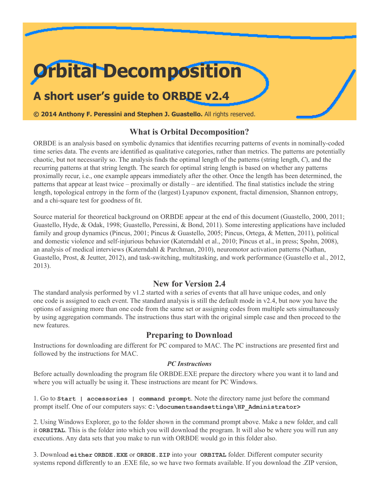# **Orbital Decomposition**

## **A short user's guide to ORBDE v2.4**

**© 2014 Anthony F. Peressini and Stephen J. Guastello.** All rights reserved.

## **What is Orbital Decomposition?**

ORBDE is an analysis based on symbolic dynamics that identifies recurring patterns of events in nominally-coded time series data. The events are identified as qualitative categories, rather than metrics. The patterns are potentially chaotic, but not necessarily so. The analysis finds the optimal length of the patterns (string length, *C*), and the recurring patterns at that string length. The search for optimal string length is based on whether any patterns proximally recur, i.e., one example appears immediately after the other. Once the length has been determined, the patterns that appear at least twice – proximally or distally – are identified. The final statistics include the string length, topological entropy in the form of the (largest) Lyapunov exponent, fractal dimension, Shannon entropy, and a chi-square test for goodness of fit.

Source material for theoretical background on ORBDE appear at the end of this document (Guastello, 2000, 2011; Guastello, Hyde, & Odak, 1998; Guastello, Peressini, & Bond, 2011). Some interesting applications have included family and group dynamics (Pincus, 2001; Pincus & Guastello, 2005; Pincus, Ortega, & Metten, 2011), political and domestic violence and self-injurious behavior (Katerndahl et al., 2010; Pincus et al., in press; Spohn, 2008), an analysis of medical interviews (Katerndahl & Parchman, 2010), neuromotor activation patterns (Nathan, Guastello, Prost, & Jeutter, 2012), and task-switching, multitasking, and work performance (Guastello et al., 2012, 2013).

## **New for Version 2.4**

The standard analysis performed by v1.2 started with a series of events that all have unique codes, and only one code is assigned to each event. The standard analysis is still the default mode in  $v2.4$ , but now you have the options of assigning more than one code from the same set or assigning codes from multiple sets simultaneously by using aggregation commands. The instructions thus start with the original simple case and then proceed to the new features.

## **Preparing to Download**

Instructions for downloading are different for PC compared to MAC. The PC instructions are presented first and followed by the instructions for MAC.

## *PC Instructions*

Before actually downloading the program file ORBDE.EXE prepare the directory where you want it to land and where you will actually be using it. These instructions are meant for PC Windows.

1. Go to **Start | accessories | command prompt**. Note the directory name just before the command prompt itself. One of our computers says: **C:\documentsandsettings\HP\_Administrator>**

2. Using Windows Explorer, go to the folder shown in the command prompt above. Make a new folder, and call it **ORBITAL**. This is the folder into which you will download the program. It will also be where you will run any executions. Any data sets that you make to run with ORBDE would go in this folder also.

3. Download **either ORBDE.EXE** or **ORBDE.ZIP** into your **ORBITAL** folder. Different computer security systems repond differently to an .EXE file, so we have two formats available. If you download the .ZIP version,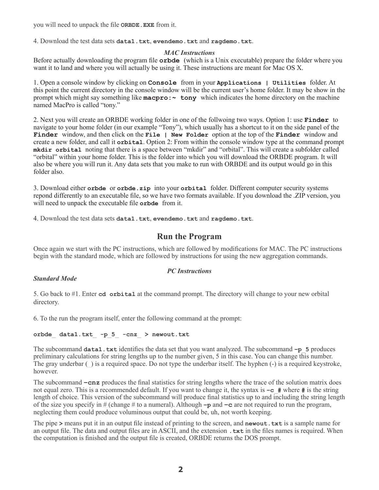you will need to unpack the file **ORBDE.EXE** from it.

4. Download the test data sets **data1.txt**, **evendemo.txt** and **ragdemo.txt**.

## *MAC Instructions*

Before actually downloading the program file **orbde** (which is a Unix executable) prepare the folder where you want it to land and where you will actually be using it. These instructions are meant for Mac OS X.

1. Open a console window by clicking on **Console** from in your **Applications | Utilities** folder. At this point the current directory in the console window will be the current user's home folder. It may be show in the prompt which might say something like **macpro:~ tony** which indicates the home directory on the machine named MacPro is called "tony."

2. Next you will create an ORBDE working folder in one of the follwoing two ways. Option 1: use **Finder** to navigate to your home folder (in our example "Tony"), which usually has a shortcut to it on the side panel of the **Finder** window, and then click on the **File | New Folder** option at the top of the **Finder** window and create a new folder, and call it **orbital**. Option 2: From within the console window type at the command prompt **mkdir orbital** noting that there is a space between "mkdir" and "orbital". This will create a subfolder called "orbital" within your home folder. This is the folder into which you will download the ORBDE program. It will also be where you will run it. Any data sets that you make to run with ORBDE and its output would go in this folder also.

3. Download either **orbde** or **orbde.zip** into your **orbital** folder. Different computer security systems repond differently to an executable file, so we have two formats available. If you download the .ZIP version, you will need to unpack the executable file **orbde** from it.

4. Download the test data sets **data1.txt**, **evendemo.txt** and **ragdemo.txt**.

## **Run the Program**

Once again we start with the PC instructions, which are followed by modifications for MAC. The PC instructions begin with the standard mode, which are followed by instructions for using the new aggregation commands.

## *Standard Mode*

## *PC Instructions*

5. Go back to #1. Enter **cd orbital** at the command prompt. The directory will change to your new orbital directory.

6. To the run the program itself, enter the following command at the prompt:

## **orbde\_ data1.txt\_ -p\_5\_ -cnz\_ > newout.txt**

The subcommand **data1.txt** identifies the data set that you want analyzed. The subcommand **–p\_5** produces preliminary calculations for string lengths up to the number given, 5 in this case. You can change this number. The gray underbar (\_) is a required space. Do not type the underbar itself. The hyphen (-) is a required keystroke, however.

The subcommand **–cnz** produces the final statistics for string lengths where the trace of the solution matrix does not equal zero. This is a recommended default. If you want to change it, the syntax is **–c\_#** where **#** is the string length of choice. This version of the subcommand will produce final statistics up to and including the string length of the size you specify in # (change # to a numeral). Although **–p** and **–c** are not required to run the program, neglecting them could produce voluminous output that could be, uh, not worth keeping.

The pipe **>** means put it in an output file instead of printing to the screen, and **newout.txt** is a sample name for an output file. The data and output files are in ASCII, and the extension **.txt** in the files names is required. When the computation is finished and the output file is created, ORBDE returns the DOS prompt.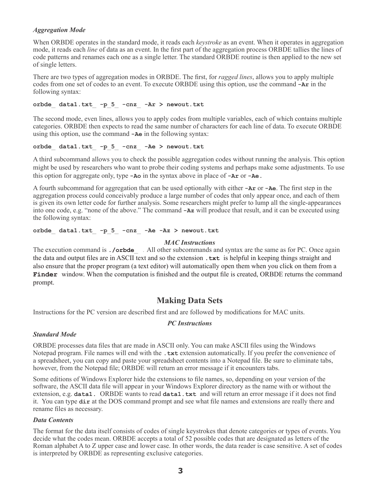## *Aggregation Mode*

When ORBDE operates in the standard mode, it reads each *keystroke* as an event. When it operates in aggregation mode, it reads each *line* of data as an event. In the first part of the aggregation process ORBDE tallies the lines of code patterns and renames each one as a single letter. The standard ORBDE routine is then applied to the new set of single letters.

There are two types of aggregation modes in ORBDE. The first, for *ragged lines*, allows you to apply multiple codes from one set of codes to an event. To execute ORBDE using this option, use the command **-Ar** in the following syntax:

**orbde\_ data1.txt\_ -p\_5\_ -cnz\_ -Ar > newout.txt**

The second mode, even lines, allows you to apply codes from multiple variables, each of which contains multiple categories. ORBDE then expects to read the same number of characters for each line of data. To execute ORBDE using this option, use the command **-Ae** in the following syntax:

#### **orbde\_ data1.txt\_ -p\_5\_ -cnz\_ -Ae > newout.txt**

A third subcommand allows you to check the possible aggregation codes without running the analysis. This option might be used by researchers who want to probe their coding systems and perhaps make some adjustments. To use this option for aggregate only, type **-Ao** in the syntax above in place of **-Ar** or **-Ae.**

A fourth subcommand for aggregation that can be used optionally with either **-Ar** or **-Ae**. The first step in the aggregation process could conceivably produce a large number of codes that only appear once, and each of them is given its own letter code for further analysis. Some researchers might prefer to lump all the single-appearances into one code, e.g. "none of the above." The command **-Az** will produce that result, and it can be executed using the following syntax:

#### **orbde\_ data1.txt\_ -p\_5\_ -cnz\_ -Ae -Az > newout.txt**

#### *MAC Instructions*

The execution command is **./orbde** . All other subcommands and syntax are the same as for PC. Once again the data and output files are in ASCII text and so the extension **.txt** is helpful in keeping things straight and also ensure that the proper program (a text editor) will automatically open them when you click on them from a **Finder** window. When the computation is finished and the output file is created, ORBDE returns the command prompt.

## **Making Data Sets**

Instructions for the PC version are described first and are followed by modifications for MAC units.

## *PC Instructions*

## *Standard Mode*

ORBDE processes data files that are made in ASCII only. You can make ASCII files using the Windows Notepad program. File names will end with the **.txt** extension automatically. If you prefer the convenience of a spreadsheet, you can copy and paste your spreadsheet contents into a Notepad file. Be sure to eliminate tabs, however, from the Notepad file; ORBDE will return an error message if it encounters tabs.

Some editions of Windows Explorer hide the extensions to file names, so, depending on your version of the software, the ASCII data file will appear in your Windows Explorer directory as the name with or without the extension, e.g. **data1.** ORBDE wants to read **data1.txt** and will return an error message if it does not find it. You can type **dir** at the DOS command prompt and see what file names and extensions are really there and rename files as necessary.

## *Data Contents*

The format for the data itself consists of codes of single keystrokes that denote categories or types of events. You decide what the codes mean. ORBDE accepts a total of 52 possible codes that are designated as letters of the Roman alphabet A to Z upper case and lower case. In other words, the data reader is case sensitive. A set of codes is interpreted by ORBDE as representing exclusive categories.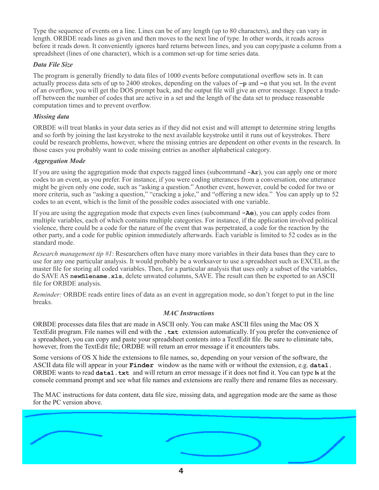Type the sequence of events on a line. Lines can be of any length (up to 80 characters), and they can vary in length. ORBDE reads lines as given and then moves to the next line of type. In other words, it reads across before it reads down. It conveniently ignores hard returns between lines, and you can copy|paste a column from a spreadsheet (lines of one character), which is a common set-up for time series data.

## *Data File Size*

The program is generally friendly to data files of 1000 events before computational overflow sets in. It can actually process data sets of up to 2400 strokes, depending on the values of **–p** and **–c** that you set. In the event of an overflow, you will get the DOS prompt back, and the output file will give an error message. Expect a tradeoff between the number of codes that are active in a set and the length of the data set to produce reasonable computation times and to prevent overflow.

## *Missing data*

ORBDE will treat blanks in your data series as if they did not exist and will attempt to determine string lengths and so forth by joining the last keystroke to the next available keystroke until it runs out of keystrokes. There could be research problems, however, where the missing entries are dependent on other events in the research. In those cases you probably want to code missing entries as another alphabetical category.

## *Aggregation Mode*

If you are using the aggregation mode that expects ragged lines (subcommand **-Ar**), you can apply one or more codes to an event, as you prefer. For instance, if you were coding utterances from a conversation, one utterance might be given only one code, such as "asking a question." Another event, however, could be coded for two or more criteria, such as "asking a question," "cracking a joke," and "offering a new idea." You can apply up to 52 codes to an event, which is the limit of the possible codes associated with one variable.

If you are using the aggregation mode that expects even lines (subcommand **-Ae**), you can apply codes from multiple variables, each of which contains multiple categories. For instance, if the application involved political violence, there could be a code for the nature of the event that was perpetrated, a code for the reaction by the other party, and a code for public opinion immediately afterwards. Each variable is limited to 52 codes as in the standard mode.

*Research management tip #1*: Researchers often have many more variables in their data bases than they care to use for any one particular analysis. It would probably be a worksaver to use a spreadsheet such as EXCEL as the master file for storing all coded variables. Then, for a particular analysis that uses only a subset of the variables, do SAVE AS **newfilename.xls**, delete unwated columns, SAVE. The result can then be exported to an ASCII file for ORBDE analysis.

*Reminder:* ORBDE reads entire lines of data as an event in aggregation mode, so don't forget to put in the line breaks.

## *MAC Instructions*

ORBDE processes data files that are made in ASCII only. You can make ASCII files using the Mac OS X TextEdit program. File names will end with the **.txt** extension automatically. If you prefer the convenience of a spreadsheet, you can copy and paste your spreadsheet contents into a TextEdit file. Be sure to eliminate tabs, however, from the TextEdit file; ORDBE will return an error message if it encounters tabs.

Some versions of OS X hide the extensions to file names, so, depending on your version of the software, the ASCII data file will appear in your **Finder** window as the name with or without the extension, e.g. **data1.**  ORBDE wants to read **data1.txt** and will return an error message if it does not find it. You can type **ls** at the console command prompt and see what file names and extensions are really there and rename files as necessary.

The MAC instructions for data content, data file size, missing data, and aggregation mode are the same as those for the PC version above.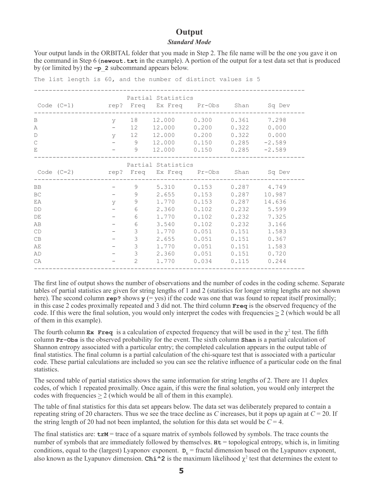## **Output** *Standard Mode*

Your output lands in the ORBITAL folder that you made in Step 2. The file name will be the one you gave it on the command in Step 6 (**newout.txt** in the example). A portion of the output for a test data set that is produced by (or limited by) the **–p\_2** subcommand appears below.

|           |                                                |              | Partial Statistics              |                             |       |               |
|-----------|------------------------------------------------|--------------|---------------------------------|-----------------------------|-------|---------------|
|           |                                                |              |                                 |                             |       |               |
| B         | $\mathbf{V}$                                   |              | 18  12.000  0.300  0.361        |                             |       | 7.298         |
| Α         |                                                |              | $-$ 12 12.000 0.200 0.322 0.000 |                             |       |               |
| D         | $\mathbf{y}$                                   |              | 12 12.000 0.200 0.322 0.000     |                             |       |               |
| C         |                                                | 9            | $12.000$ 0.150 0.285 -2.589     |                             |       |               |
| Ε         |                                                | 9            |                                 | $12.000$ 0.150 0.285 -2.589 |       |               |
|           |                                                |              | Partial Statistics              |                             |       |               |
|           |                                                |              |                                 |                             |       |               |
| <b>BB</b> |                                                | 9            | 5.310 0.153                     |                             |       | $0.287$ 4.749 |
| BC        | $\mathcal{L} = \mathcal{L} \times \mathcal{L}$ | 9            | 2.655                           | 0.153                       | 0.287 | 10.987        |
| ΕA        | $\mathbf{V}$                                   | 9            | 1.770                           | 0.153                       | 0.287 | 14.636        |
| DD        |                                                | $6\,$        | 2.360                           | 0.102                       | 0.232 | 5.599         |
| DE        |                                                | 6            | 1.770                           | 0.102                       | 0.232 | 7.325         |
| AB        |                                                | 6            | 3.540                           | 0.102                       | 0.232 | 3.166         |
| CD        |                                                | 3            | 1.770                           | 0.051                       | 0.151 | 1.583         |
| CB        |                                                | 3            | 2.655                           | 0.051                       | 0.151 | 0.367         |
| AE        |                                                | 3            | 1.770                           | 0.051                       | 0.151 | 1.583         |
| AD        |                                                | 3            | 2.360                           | 0.051                       | 0.151 | 0.720         |
| CA        |                                                | $\mathbf{2}$ | 1.770                           | 0.034                       | 0.115 | 0.244         |

The first line of output shows the number of observations and the number of codes in the coding scheme. Separate tables of partial statistics are given for string lengths of 1 and 2 (statistics for longer string lengths are not shown here). The second column  $\mathbf{rep?}$  shows  $\mathbf{y}$  (= yes) if the code was one that was found to repeat itself proximally; in this case 2 codes proximally repeated and 3 did not. The third column **Freq** is the observed frequency of the code. If this were the final solution, you would only interpret the codes with frequencies  $\geq 2$  (which would be all of them in this example).

The fourth column  $\mathbf{Ex}$  **Freq** is a calculation of expected frequency that will be used in the  $\chi^2$  test. The fifth column **Pr-Obs** is the observed probability for the event. The sixth column **Shan** is a partial calculation of Shannon entropy associated with a particular entry; the completed calculation appears in the output table of final statistics. The final column is a partial calculation of the chi-square test that is associated with a particular code. These partial calculations are included so you can see the relative influence of a particular code on the final statistics.

The second table of partial statistics shows the same information for string lengths of 2. There are 11 duplex codes, of which 1 repeated proximally. Once again, if this were the final solution, you would only interpret the codes with frequencies  $\geq 2$  (which would be all of them in this example).

The table of final statistics for this data set appears below. The data set was deliberately prepared to contain a repeating string of 20 characters. Thus we see the trace decline as *C* increases, but it pops up again at  $C = 20$ . If the string length of 20 had not been implanted, the solution for this data set would be  $C = 4$ .

The final statistics are:  $\text{trM} = \text{trace of a square matrix of symbols followed by symbols. The trace counts the}$ number of symbols that are immediately followed by themselves.  $Ht =$  topological entropy, which is, in limiting conditions, equal to the (largest) Lyaponov exponent.  $D<sub>L</sub>$  = fractal dimension based on the Lyapunov exponent, also known as the Lyapunov dimension. **Chi**<sup>2</sup> is the maximum likelihood  $\chi^2$  test that determines the extent to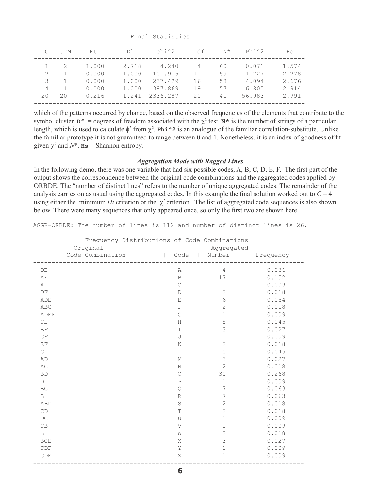|                    |     |                         |                         | Final Statistics            |               |                |                         |                         |
|--------------------|-----|-------------------------|-------------------------|-----------------------------|---------------|----------------|-------------------------|-------------------------|
|                    | trM | Ht                      | D1                      | chi^2                       | df            | $N^{\star}$    | $Phi^2$                 | Hs                      |
| $\mathcal{D}$<br>3 | 2   | 1.000<br>0.000<br>0.000 | 2.718<br>1.000<br>1,000 | 4.240<br>101.915<br>237.429 | 4<br>11<br>16 | 60<br>59<br>58 | 0.071<br>1.727<br>4.094 | 1.574<br>2.278<br>2.676 |
| 4<br>20            | 20  | 0.000<br>0.216          | 1,000<br>1.241          | 387.869<br>2336.287         | 19<br>20      | 57<br>41       | 6.805<br>56.983         | 2.914<br>2.991          |

which of the patterns occurred by chance, based on the observed frequencies of the elements that contribute to the symbol cluster.  $\mathbf{d} \mathbf{f} = \text{degrees of freedom associated with the } \chi^2 \text{ test. } \mathbf{N}^*$  is the number of strings of a particular length, which is used to calculate  $\phi^2$  from  $\chi^2$ . **Phi^2** is an analogue of the familiar correlation-substitute. Unlike the familiar prototype it is not guaranteed to range between 0 and 1. Nonetheless, it is an index of goodness of fit given  $\chi^2$  and  $N^*$ . **Hs** = Shannon entropy.

#### *Aggregation Mode with Ragged Lines*

In the following demo, there was one variable that had six possible codes, A, B, C, D, E, F. The first part of the output shows the correspondence between the original code combinations and the aggregated codes applied by ORBDE. The "number of distinct lines" refers to the number of unique aggregated codes. The remainder of the analysis carries on as usual using the aggregated codes. In this example the final solution worked out to  $C = 4$ using either the minimum *Ht* criterion or the  $\chi^2$  criterion. The list of aggregated code sequences is also shown below. There were many sequences that only appeared once, so only the first two are shown here.

AGGR-ORBDE: The number of lines is 112 and number of distinct lines is 26.

|                        | Frequency Distributions of Code Combinations<br>Original<br>Code Combination |              | Aggregated<br>  Code   Number   Frequency<br>------------------- |       |
|------------------------|------------------------------------------------------------------------------|--------------|------------------------------------------------------------------|-------|
| DE                     | ______________                                                               | Α            | $\overline{4}$                                                   | 0.036 |
| AE                     |                                                                              | $\mathbf B$  | 17                                                               | 0.152 |
| A                      |                                                                              | $\mathsf{C}$ | $\mathbf 1$                                                      | 0.009 |
| DF                     |                                                                              | $\mathbb D$  | $\sqrt{2}$                                                       | 0.018 |
| ADE                    |                                                                              | E            | 6                                                                | 0.054 |
| ABC                    |                                                                              | $_{\rm F}$   | $\overline{c}$                                                   | 0.018 |
| ADEF                   |                                                                              | G            | $\mathbf 1$                                                      | 0.009 |
| CE                     |                                                                              | H            | 5                                                                | 0.045 |
| BF                     |                                                                              | I            | 3                                                                | 0.027 |
| CF                     |                                                                              | J            | $\mathbf 1$                                                      | 0.009 |
| EF                     |                                                                              | K            | $\mathbf 2$                                                      | 0.018 |
| $\mathsf{C}$           |                                                                              | L            | 5                                                                | 0.045 |
| AD                     |                                                                              | М            | $\mathfrak{Z}$                                                   | 0.027 |
| AC                     |                                                                              | N            | $\overline{c}$                                                   | 0.018 |
| <b>BD</b>              |                                                                              | $\circ$      | 30                                                               | 0.268 |
| D                      |                                                                              | $\mathbf P$  | $\mathbf 1$                                                      | 0.009 |
| $\operatorname{BC}$    |                                                                              | $\mathbf Q$  | 7                                                                | 0.063 |
| B                      |                                                                              | $\mathbb R$  | 7                                                                | 0.063 |
| <b>ABD</b>             |                                                                              | S            | $\mathbf 2$                                                      | 0.018 |
| CD                     |                                                                              | T            | $\mathbf 2$                                                      | 0.018 |
| DC                     |                                                                              | U            | $\mathbf 1$                                                      | 0.009 |
| $\mathbb{C}\mathbb{B}$ |                                                                              | V            | $\mathbf 1$                                                      | 0.009 |
| BE                     |                                                                              | Ŵ            | $\sqrt{2}$                                                       | 0.018 |
| <b>BCE</b>             |                                                                              | Χ            | 3                                                                | 0.027 |
| CDF                    |                                                                              | Y            | $\mathbf 1$                                                      | 0.009 |
| CDE                    |                                                                              | $\rm{Z}$     | 1                                                                | 0.009 |
|                        |                                                                              |              |                                                                  |       |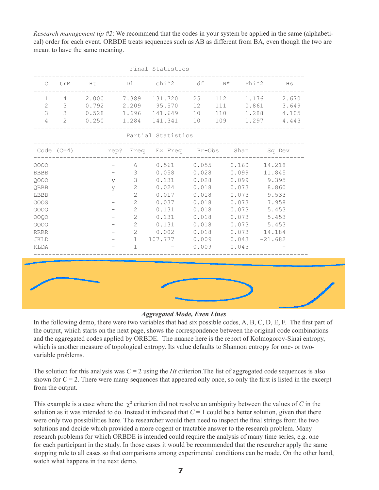*Research management tip #2*: We recommend that the codes in your system be applied in the same (alphabetical) order for each event. ORBDE treats sequences such as AB as different from BA, even though the two are meant to have the same meaning.

|              |               |       |                   |              | Final Statistics                                  |       |     |       |                |
|--------------|---------------|-------|-------------------|--------------|---------------------------------------------------|-------|-----|-------|----------------|
| C            | trM           |       |                   |              | Ht Dl chi^2 df N* Phi^2                           |       |     |       | Hs             |
| $\mathbf{1}$ | 4             |       |                   |              | 2.000 7.389 131.720                               | 25    | 112 |       | 2.670<br>1.176 |
| $\mathbf{2}$ | 3             |       |                   |              | $0.792$ 2.209 95.570                              | 12    | 111 |       | 0.861<br>3.649 |
| 3            | $\mathcal{S}$ |       |                   |              | $0.528$ 1.696 141.649 10                          |       | 110 |       | 1.288<br>4.105 |
| 4            | 2             | 0.250 |                   |              | 1.284 141.341 10                                  |       | 109 |       | 1.297 4.443    |
|              |               |       |                   |              | Partial Statistics                                |       |     |       |                |
|              |               |       |                   |              | Code $(C=4)$ rep? Freq Ex Freq Pr-Obs Shan Sq Dev |       |     |       |                |
| 0000         |               |       | $\qquad \qquad -$ | 6            | $0.561$ $0.055$ $0.160$ $14.218$                  |       |     |       |                |
| <b>BBBB</b>  |               |       |                   | 3            | $0.058$ 0.028                                     |       |     | 0.099 | 11.845         |
| 0000         |               |       | У                 | 3            | $0.131$ $0.028$                                   |       |     |       | $0.099$ 9.395  |
| QBBB         |               |       | У                 | 2            | $0.024$ $0.018$                                   |       |     |       | 0.073 8.860    |
| LBBB         |               |       |                   | $\mathbf{2}$ | 0.017                                             | 0.018 |     | 0.073 | 9.533          |
| <b>OOOS</b>  |               |       |                   | $\mathbf{2}$ | 0.037                                             | 0.018 |     | 0.073 | 7.958          |
| 0000         |               |       |                   | $\mathbf{2}$ | 0.131                                             | 0.018 |     | 0.073 | 5.453          |
| 0000         |               |       |                   | $\mathbf{2}$ | 0.131                                             | 0.018 |     | 0.073 | 5.453          |
| 0000         |               |       |                   | 2            | $0.131$ $0.018$                                   |       |     |       | $0.073$ 5.453  |
| <b>RRRR</b>  |               |       |                   | 2            | 0.002                                             | 0.018 |     |       | $0.073$ 14.184 |
| <b>JKLD</b>  |               |       |                   | $\mathbf{1}$ | 107.777 0.009                                     |       |     | 0.043 | $-21.682$      |
| KLDA         |               |       |                   | $\mathbf{1}$ |                                                   | 0.009 |     | 0.043 |                |
|              |               |       |                   |              |                                                   |       |     |       |                |
|              |               |       |                   |              |                                                   |       |     |       |                |
|              |               |       |                   |              |                                                   |       |     |       |                |
|              |               |       |                   |              |                                                   |       |     |       |                |
|              |               |       |                   |              |                                                   |       |     |       |                |
|              |               |       |                   |              |                                                   |       |     |       |                |

#### *Aggregated Mode, Even Lines*

In the following demo, there were two variables that had six possible codes, A, B, C, D, E, F. The first part of the output, which starts on the next page, shows the correspondence between the original code combinations and the aggregated codes applied by ORBDE. The nuance here is the report of Kolmogorov-Sinai entropy, which is another measure of topological entropy. Its value defaults to Shannon entropy for one- or twovariable problems.

The solution for this analysis was  $C = 2$  using the *Ht* criterion. The list of aggregated code sequences is also shown for  $C = 2$ . There were many sequences that appeared only once, so only the first is listed in the excerpt from the output.

This example is a case where the  $\chi^2$  criterion did not resolve an ambiguity between the values of C in the solution as it was intended to do. Instead it indicated that  $C = 1$  could be a better solution, given that there were only two possibilities here. The researcher would then need to inspect the final strings from the two solutions and decide which provided a more cogent or tractable answer to the research problem. Many research problems for which ORBDE is intended could require the analysis of many time series, e.g. one for each participant in the study. In those cases it would be recommended that the researcher apply the same stopping rule to all cases so that comparisons among experimental conditions can be made. On the other hand, watch what happens in the next demo.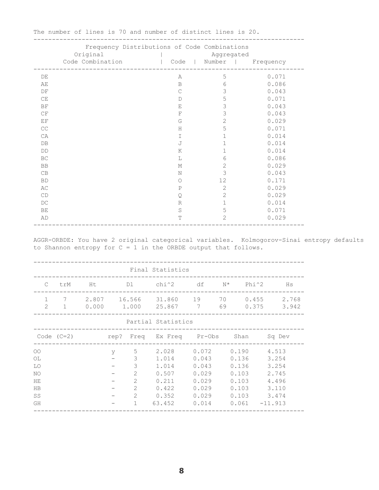|                        | Frequency Distributions of Code Combinations |              |                           |       |
|------------------------|----------------------------------------------|--------------|---------------------------|-------|
|                        | Original                                     |              | Aggregated                |       |
|                        | Code Combination                             |              | Code   Number   Frequency |       |
| DE                     |                                              | Α            | 5                         | 0.071 |
| AЕ                     |                                              | $\mathbf B$  | 6                         | 0.086 |
| DF                     |                                              | $\mathsf{C}$ | 3                         | 0.043 |
| CE                     |                                              | $\mathbb D$  | 5                         | 0.071 |
| ΒF                     |                                              | Ε            | 3                         | 0.043 |
| CF                     |                                              | $\mathbf F$  | 3                         | 0.043 |
| ΕF                     |                                              | G            | $\mathbf{2}$              | 0.029 |
| $\mathbb{C}\mathbb{C}$ |                                              | H            | 5                         | 0.071 |
| СA                     |                                              | I            | $\mathbf 1$               | 0.014 |
| DB                     |                                              | J            | $\mathbf 1$               | 0.014 |
| DD                     |                                              | K            | $\mathbf 1$               | 0.014 |
| BC                     |                                              | L            | 6                         | 0.086 |
| BB                     |                                              | М            | $\mathbf{2}$              | 0.029 |
| CB                     |                                              | N            | 3                         | 0.043 |
| <b>BD</b>              |                                              | $\circ$      | 12                        | 0.171 |
| АC                     |                                              | $\, {\bf P}$ | $\mathbf{2}$              | 0.029 |
| CD                     |                                              | $\mathbf Q$  | $\mathbf{2}$              | 0.029 |
| DC                     |                                              | $\mathbb R$  | $\mathbf 1$               | 0.014 |
| BE                     |                                              | $\rm S$      | 5                         | 0.071 |
| AD                     |                                              | T            | $\mathbf{2}$              | 0.029 |
|                        |                                              |              |                           |       |

-------------------------------------------------------------------------

The number of lines is 70 and number of distinct lines is 20.

AGGR-ORBDE: You have 2 original categorical variables. Kolmogorov-Sinai entropy defaults

to Shannon entropy for  $C = 1$  in the ORBDE output that follows.

|                                                                   |        |   |                                                                       | Final Statistics                                                                          |                                                             |                         |                                            |                                                    |
|-------------------------------------------------------------------|--------|---|-----------------------------------------------------------------------|-------------------------------------------------------------------------------------------|-------------------------------------------------------------|-------------------------|--------------------------------------------|----------------------------------------------------|
| $\mathbb{C}^-$                                                    | trM Ht |   |                                                                       | Dl chi^2 df N* Phi^2 Hs                                                                   |                                                             |                         |                                            |                                                    |
| $\mathbf{1}$<br>$\mathcal{P}$                                     |        |   |                                                                       | 7 2.807 16.566 31.860 19 70 0.455 2.768<br>1 0.000 1.000 25.867 7 69 0.375 3.942          |                                                             |                         |                                            |                                                    |
|                                                                   |        |   |                                                                       | Partial Statistics                                                                        |                                                             |                         |                                            |                                                    |
|                                                                   |        |   |                                                                       |                                                                                           |                                                             |                         |                                            |                                                    |
| $\overline{O}O$<br>OL<br>LO.<br>NO<br>HЕ<br><b>HB</b><br>SS<br>GH |        | y | 3<br>3<br>2<br>$\mathfrak{2}$<br>$\overline{2}$<br>$\mathcal{L}$<br>1 | 5 2.028 0.072 0.190 4.513<br>1.014<br>1.014<br>0.507<br>0.211<br>0.422<br>0.352<br>63.452 | 0.043<br>0.043<br>0.029<br>0.029<br>0.029<br>0.029<br>0.014 | 0.103<br>0.103<br>0.103 | 0.136<br>0.136<br>0.103<br>$0.061 -11.913$ | 3.254<br>3.254<br>2.745<br>4.496<br>3.110<br>3.474 |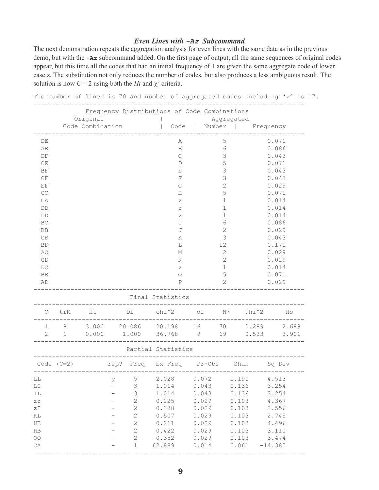## *Even Lines with -Az Subcommand*

The next demonstration repeats the aggregation analysis for even lines with the same data as in the previous demo, but with the **-Az** subcommand added. On the first page of output, all the same sequences of original codes appear, but this time all the codes that had an initial frequency of 1 are given the same aggregate code of lower case z. The substitution not only reduces the number of codes, but also produces a less ambiguous result. The solution is now  $C = 2$  using both the *Ht* and  $\chi^2$  criteria.

|                                                  |              |                              |                                            | Frequency Distributions of Code Combinations |       |                |                    |           |
|--------------------------------------------------|--------------|------------------------------|--------------------------------------------|----------------------------------------------|-------|----------------|--------------------|-----------|
|                                                  |              | Original<br>Code Combination |                                            | Code                                         |       | Aggregated     | Number   Frequency |           |
|                                                  |              |                              |                                            |                                              |       |                |                    |           |
| DE                                               |              |                              |                                            | Α                                            |       | 5              |                    | 0.071     |
| AE                                               |              |                              |                                            | $\, {\bf B}$                                 |       | 6              |                    | 0.086     |
| $\mathop{\rm DF}\nolimits$                       |              |                              |                                            | $\mathsf C$                                  |       | $\mathfrak{Z}$ |                    | 0.043     |
| $\mathbb{C}\mathcal{E}$                          |              |                              |                                            | $\mathbb D$                                  |       | 5              |                    | 0.071     |
| $\rm BF$                                         |              |                              |                                            | Ε                                            |       | 3              |                    | 0.043     |
| $\mathbb{C}\,\mathbb{F}$                         |              |                              |                                            | $\mathbf F$                                  |       | 3              |                    | 0.043     |
| $\operatorname{EF}$                              |              |                              |                                            | G                                            |       | $\overline{c}$ |                    | 0.029     |
| $\mathbb{C}\mathbb{C}$                           |              |                              |                                            | Η                                            |       | 5              |                    | 0.071     |
| СA                                               |              |                              |                                            | Ζ                                            |       | $\mathbf 1$    |                    | 0.014     |
| ${\rm DB}$                                       |              |                              |                                            | Ζ                                            |       | $\mathbf 1$    |                    | 0.014     |
| $\mathbb{D}\mathbb{D}$                           |              |                              |                                            | Ζ                                            |       | $\mathbf 1$    |                    | 0.014     |
| $\operatorname{BC}$                              |              |                              |                                            | I                                            |       | 6              |                    | 0.086     |
| BB                                               |              |                              |                                            | J                                            |       | $\overline{c}$ |                    | 0.029     |
| $\mathbb{C}\mathbb{B}$                           |              |                              |                                            | Κ                                            |       | $\mathfrak{Z}$ |                    | 0.043     |
| <b>BD</b>                                        |              |                              |                                            | L                                            |       | 12             |                    | 0.171     |
| AC                                               |              |                              |                                            | М                                            |       | $\overline{2}$ |                    | 0.029     |
| $\mathbb{C}\mathbb{D}$                           |              |                              |                                            | Ν                                            |       | $\overline{2}$ |                    | 0.029     |
| $\mathbb{D}\mathbb{C}$                           |              |                              |                                            | $\boldsymbol{Z}$                             |       | $\mathbf 1$    |                    | 0.014     |
| BE                                               |              |                              |                                            | $\circ$                                      |       | 5              |                    | 0.071     |
| AD                                               |              |                              |                                            | Ρ                                            |       | $\overline{2}$ |                    | 0.029     |
|                                                  |              |                              |                                            | Final Statistics                             |       |                |                    |           |
| С                                                | trM          | Ht                           | Dl                                         | chi^2                                        | df    | $N^{\star}$    | Phi^2              | Ηs        |
| 1                                                | 8            | 3.000                        | 20.086                                     | 20.198                                       | 16    | 70             | 0.289              | 2.689     |
| $\overline{2}$                                   | $\mathbf{1}$ | 0.000                        | 1.000                                      | 36.768                                       | 9     | 69             | 0.533              | 3.901     |
|                                                  |              |                              |                                            | Partial Statistics                           |       |                |                    |           |
|                                                  |              |                              |                                            |                                              |       |                |                    |           |
| Code $(C=2)$                                     |              |                              |                                            | rep? Freq Ex Freq Pr-Obs Shan                |       |                |                    | Sq Dev    |
| ГT                                               |              |                              | $\mathsf S$<br>У                           | 2.028                                        | 0.072 |                | 0.190              | 4.513     |
| $\mathbb{L}\, \mathbb{I}$                        |              |                              | $\mathfrak{Z}$<br>$\overline{\phantom{0}}$ | 1.014                                        | 0.043 |                | 0.136              | 3.254     |
| IL                                               |              |                              | $\mathfrak{Z}$                             | 1.014                                        | 0.043 |                | 0.136              | 3.254     |
| $\mbox{Z} \; \mbox{Z}$                           |              |                              | $\sqrt{2}$                                 | 0.225                                        | 0.029 |                | 0.103              | 4.367     |
| $\mathop{\rm z}\nolimits\mathop{\rm I}\nolimits$ |              |                              | $\mathbf{2}$                               | 0.338                                        | 0.029 |                | 0.103              | 3.556     |
| ΚL                                               |              |                              | $\mathbf{2}$                               | 0.507                                        | 0.029 |                | 0.103              | 2.745     |
| $\rm HE$                                         |              |                              | $\mathbf{2}$                               | 0.211                                        | 0.029 |                | 0.103              | 4.496     |
| $_{\rm HB}$                                      |              |                              | $\mathbf{2}$                               | 0.422                                        | 0.029 |                | 0.103              | 3.110     |
| $\circlearrowright\circlearrowright$             |              |                              | $\sqrt{2}$                                 | 0.352                                        | 0.029 |                | 0.103              | 3.474     |
| $\mathbb{C}\mathbb{A}$                           |              |                              | $\mathbf 1$                                | 62.889                                       | 0.014 |                | 0.061              | $-14.385$ |

**9**